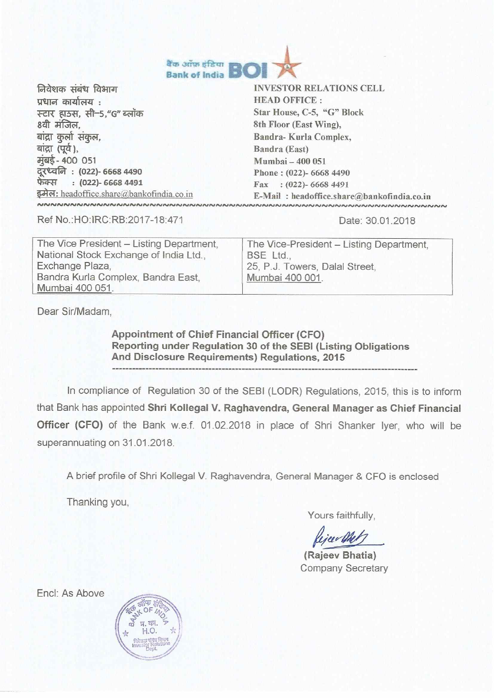

| निवेशक संबंध विभाग                                      | <b>INVESTOR RELATIONS CELL</b>             |
|---------------------------------------------------------|--------------------------------------------|
| प्रधान कार्यालय :                                       | <b>HEAD OFFICE:</b>                        |
| स्टार हाउस, सी-5,"G" ब्लॉक                              | Star House, C-5, "G" Block                 |
| 8वी मंजिल,                                              | 8th Floor (East Wing),                     |
| बांद्रा कुर्ला संकुल,                                   | Bandra-Kurla Complex,                      |
| बांद्रा (पूर्व),                                        | Bandra (East)                              |
| मुंबई- 400 051                                          | Mumbai - 400 051                           |
| दूरध्वनि : (022)- 6668 4490<br>फेक्स : (022)- 6668 4491 | Phone: (022)- 6668 4490                    |
|                                                         | Fax: (022)-6668 4491                       |
| इमेल: headoffice.share@bankofindia.co.in                | E-Mail: headoffice.share@bankofindia.co.in |
| <u>NNNNNNNMARNNNNNNNNNAMNAINNA</u>                      |                                            |

Ref No.:HO:IRC:RB:2017-18:471 Date: 30.01.2018

| The Vice President - Listing Department, | The Vice-President - Listing Department, |
|------------------------------------------|------------------------------------------|
| National Stock Exchange of India Ltd.,   | BSE Ltd                                  |
| Exchange Plaza,                          | 25, P.J. Towers, Dalal Street,           |
| Bandra Kurla Complex, Bandra East,       | Mumbai 400 001.                          |
| Mumbai 400 051.                          |                                          |

Dear Sir/Madam,

**Appointment of Chief Financial Officer (CFO) Reporting under Regulation 30 of the SEBI (Listing Obligations And Disclosure Requirements) Regulations, 2015** 

In compliance of Regulation 30 of the SEBI (LODR) Regulations, 2015, this is to inform that Bank has appointed **Shri Kollegal V. Raghavendra, General Manager as Chief Financial Officer (CFO)** of the Bank w.e.f. 01.02.2018 in place of Shri Shanker lyer, who will be superannuating on 31.01.2018.

A brief profile of Shri Kollegal V. Raghavendra, General Manager & CFO is enclosed

Thanking you,

Yours faithfully,

Rejeer Met

**(Rajeev Bhatia)**  Company Secretary

Encl: As Above